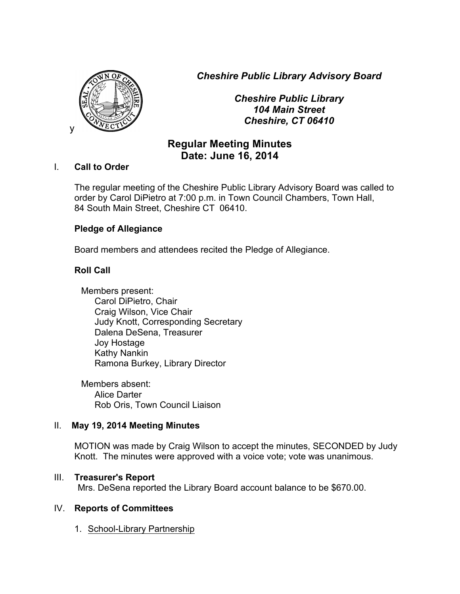*Cheshire Public Library Advisory Board*



*Cheshire Public Library 104 Main Street Cheshire, CT 06410*

# **Regular Meeting Minutes Date: June 16, 2014**

#### I. **Call to Order**

The regular meeting of the Cheshire Public Library Advisory Board was called to order by Carol DiPietro at 7:00 p.m. in Town Council Chambers, Town Hall, 84 South Main Street, Cheshire CT 06410.

## **Pledge of Allegiance**

Board members and attendees recited the Pledge of Allegiance.

## **Roll Call**

Members present: Carol DiPietro, Chair Craig Wilson, Vice Chair Judy Knott, Corresponding Secretary Dalena DeSena, Treasurer Joy Hostage Kathy Nankin Ramona Burkey, Library Director

Members absent: Alice Darter Rob Oris, Town Council Liaison

#### II. **May 19, 2014 Meeting Minutes**

MOTION was made by Craig Wilson to accept the minutes, SECONDED by Judy Knott. The minutes were approved with a voice vote; vote was unanimous.

#### III. **Treasurer's Report**

Mrs. DeSena reported the Library Board account balance to be \$670.00.

## IV. **Reports of Committees**

1. School-Library Partnership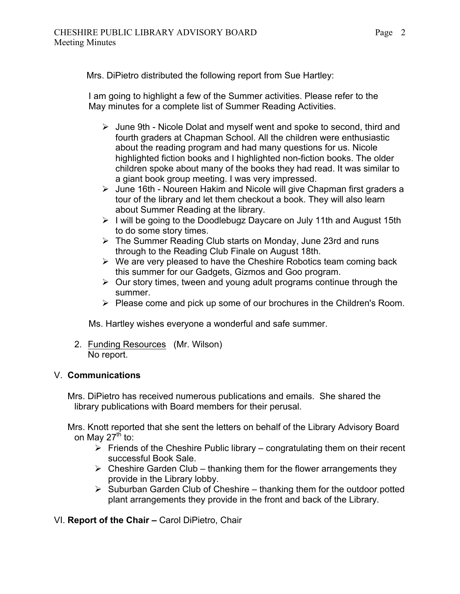Mrs. DiPietro distributed the following report from Sue Hartley:

 I am going to highlight a few of the Summer activities. Please refer to the May minutes for a complete list of Summer Reading Activities.

- $\triangleright$  June 9th Nicole Dolat and myself went and spoke to second, third and fourth graders at Chapman School. All the children were enthusiastic about the reading program and had many questions for us. Nicole highlighted fiction books and I highlighted non-fiction books. The older children spoke about many of the books they had read. It was similar to a giant book group meeting. I was very impressed.
- $\triangleright$  June 16th Noureen Hakim and Nicole will give Chapman first graders a tour of the library and let them checkout a book. They will also learn about Summer Reading at the library.
- $\triangleright$  I will be going to the Doodlebugz Daycare on July 11th and August 15th to do some story times.
- $\triangleright$  The Summer Reading Club starts on Monday, June 23rd and runs through to the Reading Club Finale on August 18th.
- $\triangleright$  We are very pleased to have the Cheshire Robotics team coming back this summer for our Gadgets, Gizmos and Goo program.
- $\triangleright$  Our story times, tween and young adult programs continue through the summer.
- $\triangleright$  Please come and pick up some of our brochures in the Children's Room.

Ms. Hartley wishes everyone a wonderful and safe summer.

2. Funding Resources (Mr. Wilson) No report.

## V. **Communications**

Mrs. DiPietro has received numerous publications and emails. She shared the library publications with Board members for their perusal.

Mrs. Knott reported that she sent the letters on behalf of the Library Advisory Board on May 27<sup>th</sup> to:

- $\triangleright$  Friends of the Cheshire Public library congratulating them on their recent successful Book Sale.
- $\triangleright$  Cheshire Garden Club thanking them for the flower arrangements they provide in the Library lobby.
- $\triangleright$  Suburban Garden Club of Cheshire thanking them for the outdoor potted plant arrangements they provide in the front and back of the Library.

VI. **Report of the Chair –** Carol DiPietro, Chair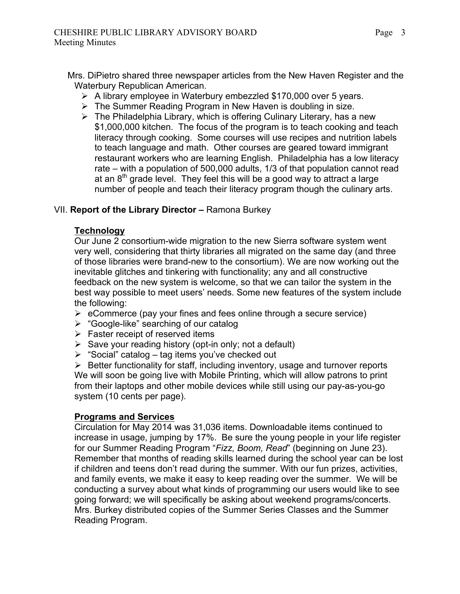Mrs. DiPietro shared three newspaper articles from the New Haven Register and the Waterbury Republican American.

- $\triangleright$  A library employee in Waterbury embezzled \$170,000 over 5 years.
- $\triangleright$  The Summer Reading Program in New Haven is doubling in size.
- $\triangleright$  The Philadelphia Library, which is offering Culinary Literary, has a new \$1,000,000 kitchen. The focus of the program is to teach cooking and teach literacy through cooking. Some courses will use recipes and nutrition labels to teach language and math. Other courses are geared toward immigrant restaurant workers who are learning English. Philadelphia has a low literacy rate – with a population of 500,000 adults, 1/3 of that population cannot read at an  $8<sup>th</sup>$  grade level. They feel this will be a good way to attract a large number of people and teach their literacy program though the culinary arts.

## VII. **Report of the Library Director –** Ramona Burkey

## **Technology**

Our June 2 consortium-wide migration to the new Sierra software system went very well, considering that thirty libraries all migrated on the same day (and three of those libraries were brand-new to the consortium). We are now working out the inevitable glitches and tinkering with functionality; any and all constructive feedback on the new system is welcome, so that we can tailor the system in the best way possible to meet users' needs. Some new features of the system include the following:

- $\triangleright$  eCommerce (pay your fines and fees online through a secure service)
- $\triangleright$  "Google-like" searching of our catalog
- $\triangleright$  Faster receipt of reserved items
- $\triangleright$  Save your reading history (opt-in only; not a default)
- $\triangleright$  "Social" catalog tag items you've checked out

 $\triangleright$  Better functionality for staff, including inventory, usage and turnover reports We will soon be going live with Mobile Printing, which will allow patrons to print from their laptops and other mobile devices while still using our pay-as-you-go system (10 cents per page).

## **Programs and Services**

Circulation for May 2014 was 31,036 items. Downloadable items continued to increase in usage, jumping by 17%. Be sure the young people in your life register for our Summer Reading Program "*Fizz, Boom, Read*" (beginning on June 23). Remember that months of reading skills learned during the school year can be lost if children and teens don't read during the summer. With our fun prizes, activities, and family events, we make it easy to keep reading over the summer. We will be conducting a survey about what kinds of programming our users would like to see going forward; we will specifically be asking about weekend programs/concerts. Mrs. Burkey distributed copies of the Summer Series Classes and the Summer Reading Program.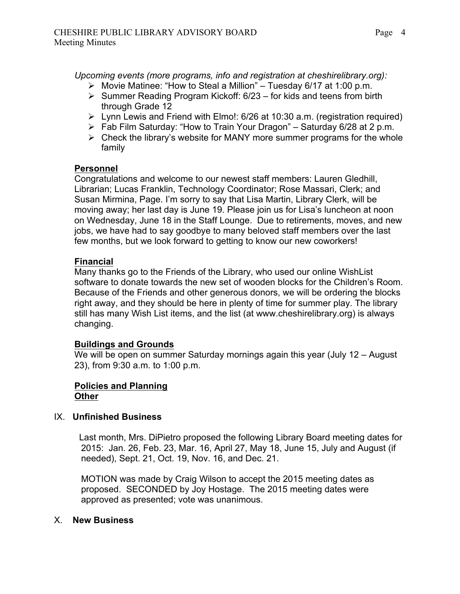*Upcoming events (more programs, info and registration at cheshirelibrary.org):*

- $\triangleright$  Movie Matinee: "How to Steal a Million" Tuesday 6/17 at 1:00 p.m.
- $\triangleright$  Summer Reading Program Kickoff: 6/23 for kids and teens from birth through Grade 12
- $\triangleright$  Lynn Lewis and Friend with Elmo!: 6/26 at 10:30 a.m. (registration required)
- $\triangleright$  Fab Film Saturday: "How to Train Your Dragon" Saturday 6/28 at 2 p.m.
- $\triangleright$  Check the library's website for MANY more summer programs for the whole family

# **Personnel**

Congratulations and welcome to our newest staff members: Lauren Gledhill, Librarian; Lucas Franklin, Technology Coordinator; Rose Massari, Clerk; and Susan Mirmina, Page. I'm sorry to say that Lisa Martin, Library Clerk, will be moving away; her last day is June 19. Please join us for Lisa's luncheon at noon on Wednesday, June 18 in the Staff Lounge. Due to retirements, moves, and new jobs, we have had to say goodbye to many beloved staff members over the last few months, but we look forward to getting to know our new coworkers!

# **Financial**

Many thanks go to the Friends of the Library, who used our online WishList software to donate towards the new set of wooden blocks for the Children's Room. Because of the Friends and other generous donors, we will be ordering the blocks right away, and they should be here in plenty of time for summer play. The library still has many Wish List items, and the list (at www.cheshirelibrary.org) is always changing.

## **Buildings and Grounds**

We will be open on summer Saturday mornings again this year (July 12 – August) 23), from 9:30 a.m. to 1:00 p.m.

#### **Policies and Planning Other**

## IX. **Unfinished Business**

Last month, Mrs. DiPietro proposed the following Library Board meeting dates for 2015: Jan. 26, Feb. 23, Mar. 16, April 27, May 18, June 15, July and August (if needed), Sept. 21, Oct. 19, Nov. 16, and Dec. 21.

MOTION was made by Craig Wilson to accept the 2015 meeting dates as proposed. SECONDED by Joy Hostage. The 2015 meeting dates were approved as presented; vote was unanimous.

## X. **New Business**